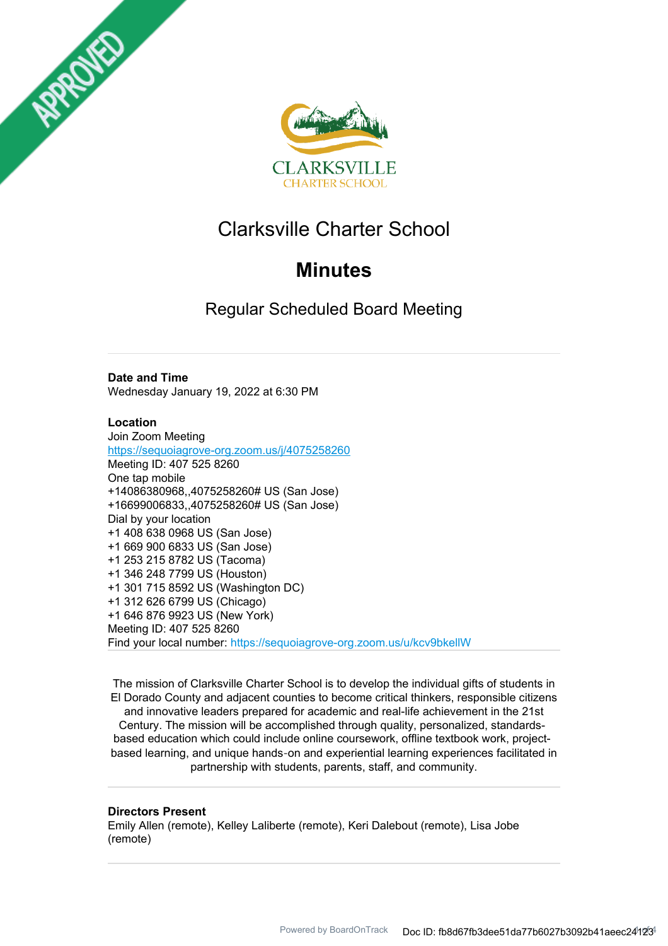



# Clarksville Charter School

# **Minutes**

Regular Scheduled Board Meeting

## **Date and Time**

Wednesday January 19, 2022 at 6:30 PM

## **Location**

Join Zoom Meeting https://sequoiagrove-org.zoom.us/j/4075258260 Meeting ID: 407 525 8260 One tap mobile +14086380968,,4075258260# US (San Jose) +16699006833,,4075258260# US (San Jose) Dial by your location +1 408 638 0968 US (San Jose) +1 669 900 6833 US (San Jose) +1 253 215 8782 US (Tacoma) +1 346 248 7799 US (Houston) +1 301 715 8592 US (Washington DC) +1 312 626 6799 US (Chicago) +1 646 876 9923 US (New York) Meeting ID: 407 525 8260 Find your local number: https://sequoiagrove-org.zoom.us/u/kcv9bkellW

The mission of Clarksville Charter School is to develop the individual gifts of students in El Dorado County and adjacent counties to become critical thinkers, responsible citizens and innovative leaders prepared for academic and real-life achievement in the 21st Century. The mission will be accomplished through quality, personalized, standardsbased education which could include online coursework, offline textbook work, projectbased learning, and unique hands‐on and experiential learning experiences facilitated in partnership with students, parents, staff, and community.

#### **Directors Present**

Emily Allen (remote), Kelley Laliberte (remote), Keri Dalebout (remote), Lisa Jobe (remote)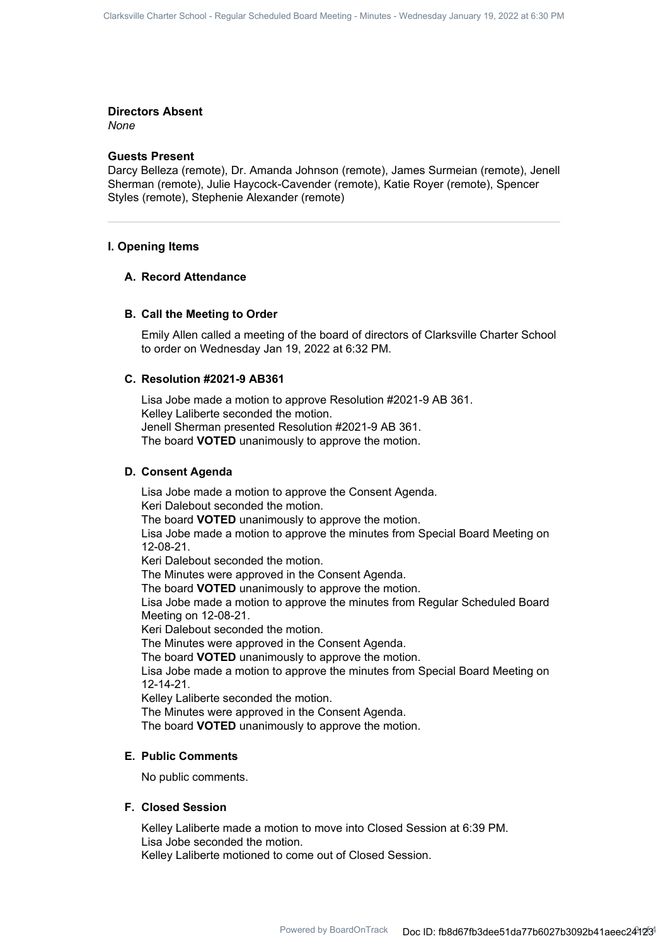#### **Directors Absent**

*None*

### **Guests Present**

Darcy Belleza (remote), Dr. Amanda Johnson (remote), James Surmeian (remote), Jenell Sherman (remote), Julie Haycock-Cavender (remote), Katie Royer (remote), Spencer Styles (remote), Stephenie Alexander (remote)

#### **I. Opening Items**

#### **A. Record Attendance**

#### **B. Call the Meeting to Order**

Emily Allen called a meeting of the board of directors of Clarksville Charter School to order on Wednesday Jan 19, 2022 at 6:32 PM.

### **C. Resolution #2021-9 AB361**

Lisa Jobe made a motion to approve Resolution #2021-9 AB 361. Kelley Laliberte seconded the motion. Jenell Sherman presented Resolution #2021-9 AB 361. The board **VOTED** unanimously to approve the motion.

#### **D. Consent Agenda**

Lisa Jobe made a motion to approve the Consent Agenda. Keri Dalebout seconded the motion. The board **VOTED** unanimously to approve the motion. Lisa Jobe made a motion to approve the minutes from Special Board Meeting on 12-08-21. Keri Dalebout seconded the motion. The Minutes were approved in the Consent Agenda. The board **VOTED** unanimously to approve the motion. Lisa Jobe made a motion to approve the minutes from Regular Scheduled Board Meeting on 12-08-21. Keri Dalebout seconded the motion. The Minutes were approved in the Consent Agenda. The board **VOTED** unanimously to approve the motion. Lisa Jobe made a motion to approve the minutes from Special Board Meeting on 12-14-21. Kelley Laliberte seconded the motion.

The Minutes were approved in the Consent Agenda. The board **VOTED** unanimously to approve the motion.

#### **E. Public Comments**

No public comments.

#### **F. Closed Session**

Kelley Laliberte made a motion to move into Closed Session at 6:39 PM. Lisa Jobe seconded the motion. Kelley Laliberte motioned to come out of Closed Session.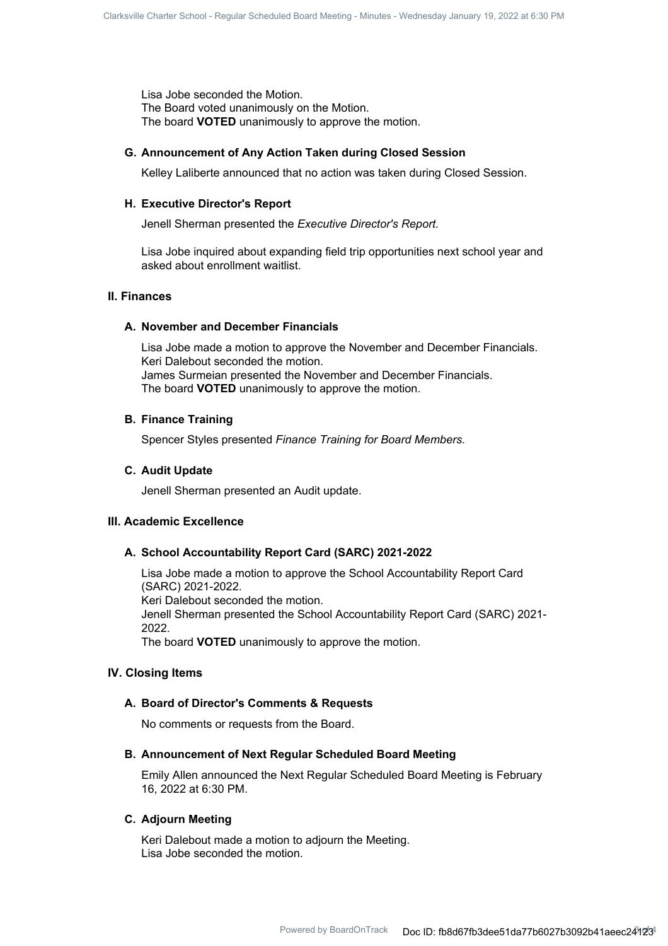Lisa Jobe seconded the Motion. The Board voted unanimously on the Motion. The board **VOTED** unanimously to approve the motion.

#### **G. Announcement of Any Action Taken during Closed Session**

Kelley Laliberte announced that no action was taken during Closed Session.

#### **H. Executive Director's Report**

Jenell Sherman presented the *Executive Director's Report.*

Lisa Jobe inquired about expanding field trip opportunities next school year and asked about enrollment waitlist.

#### **II. Finances**

#### **A. November and December Financials**

Lisa Jobe made a motion to approve the November and December Financials. Keri Dalebout seconded the motion. James Surmeian presented the November and December Financials. The board **VOTED** unanimously to approve the motion.

#### **B. Finance Training**

Spencer Styles presented *Finance Training for Board Members.*

#### **C.** Audit Update

Jenell Sherman presented an Audit update.

### **III. Academic Excellence**

#### **A. School Accountability Report Card (SARC) 2021-2022**

Lisa Jobe made a motion to approve the School Accountability Report Card (SARC) 2021-2022. Keri Dalebout seconded the motion. Jenell Sherman presented the School Accountability Report Card (SARC) 2021- 2022. The board **VOTED** unanimously to approve the motion.

#### **IV. Closing Items**

#### **A. Board of Director's Comments & Requests**

No comments or requests from the Board.

## **B. Announcement of Next Regular Scheduled Board Meeting**

Emily Allen announced the Next Regular Scheduled Board Meeting is February 16, 2022 at 6:30 PM.

#### **C. Adiourn Meeting**

Keri Dalebout made a motion to adjourn the Meeting. Lisa Jobe seconded the motion.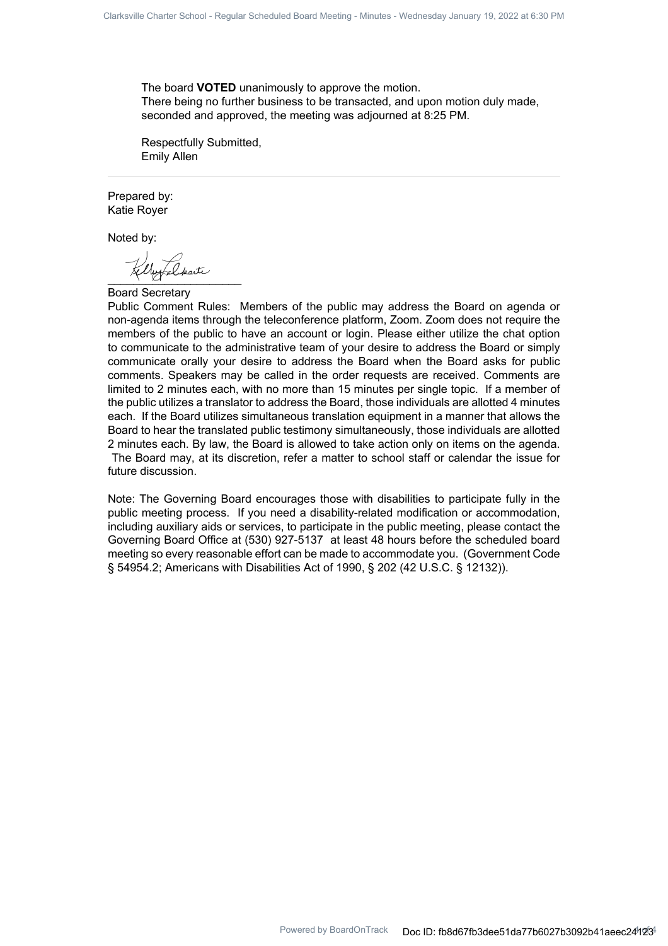The board **VOTED** unanimously to approve the motion. There being no further business to be transacted, and upon motion duly made, seconded and approved, the meeting was adjourned at 8:25 PM.

Respectfully Submitted, Emily Allen

Prepared by: Katie Royer

Noted by:

 $Y - Y$ 

Board Secretary

Public Comment Rules: Members of the public may address the Board on agenda or non-agenda items through the teleconference platform, Zoom. Zoom does not require the members of the public to have an account or login. Please either utilize the chat option to communicate to the administrative team of your desire to address the Board or simply communicate orally your desire to address the Board when the Board asks for public comments. Speakers may be called in the order requests are received. Comments are limited to 2 minutes each, with no more than 15 minutes per single topic. If a member of the public utilizes a translator to address the Board, those individuals are allotted 4 minutes each. If the Board utilizes simultaneous translation equipment in a manner that allows the Board to hear the translated public testimony simultaneously, those individuals are allotted 2 minutes each. By law, the Board is allowed to take action only on items on the agenda. The Board may, at its discretion, refer a matter to school staff or calendar the issue for future discussion.

Note: The Governing Board encourages those with disabilities to participate fully in the public meeting process. If you need a disability-related modification or accommodation, including auxiliary aids or services, to participate in the public meeting, please contact the Governing Board Office at (530) 927-5137 at least 48 hours before the scheduled board meeting so every reasonable effort can be made to accommodate you. (Government Code § 54954.2; Americans with Disabilities Act of 1990, § 202 (42 U.S.C. § 12132)).